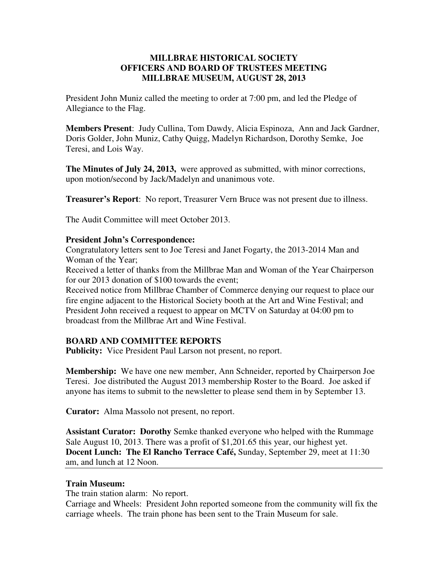# **MILLBRAE HISTORICAL SOCIETY OFFICERS AND BOARD OF TRUSTEES MEETING MILLBRAE MUSEUM, AUGUST 28, 2013**

President John Muniz called the meeting to order at 7:00 pm, and led the Pledge of Allegiance to the Flag.

**Members Present**: Judy Cullina, Tom Dawdy, Alicia Espinoza, Ann and Jack Gardner, Doris Golder, John Muniz, Cathy Quigg, Madelyn Richardson, Dorothy Semke, Joe Teresi, and Lois Way.

**The Minutes of July 24, 2013,** were approved as submitted, with minor corrections, upon motion/second by Jack/Madelyn and unanimous vote.

**Treasurer's Report**: No report, Treasurer Vern Bruce was not present due to illness.

The Audit Committee will meet October 2013.

#### **President John's Correspondence:**

Congratulatory letters sent to Joe Teresi and Janet Fogarty, the 2013-2014 Man and Woman of the Year;

Received a letter of thanks from the Millbrae Man and Woman of the Year Chairperson for our 2013 donation of \$100 towards the event;

Received notice from Millbrae Chamber of Commerce denying our request to place our fire engine adjacent to the Historical Society booth at the Art and Wine Festival; and President John received a request to appear on MCTV on Saturday at 04:00 pm to broadcast from the Millbrae Art and Wine Festival.

## **BOARD AND COMMITTEE REPORTS**

**Publicity:** Vice President Paul Larson not present, no report.

**Membership:** We have one new member, Ann Schneider, reported by Chairperson Joe Teresi. Joe distributed the August 2013 membership Roster to the Board. Joe asked if anyone has items to submit to the newsletter to please send them in by September 13.

**Curator:** Alma Massolo not present, no report.

**Assistant Curator: Dorothy** Semke thanked everyone who helped with the Rummage Sale August 10, 2013. There was a profit of \$1,201.65 this year, our highest yet. **Docent Lunch: The El Rancho Terrace Café,** Sunday, September 29, meet at 11:30 am, and lunch at 12 Noon.

#### **Train Museum:**

The train station alarm: No report.

Carriage and Wheels: President John reported someone from the community will fix the carriage wheels. The train phone has been sent to the Train Museum for sale.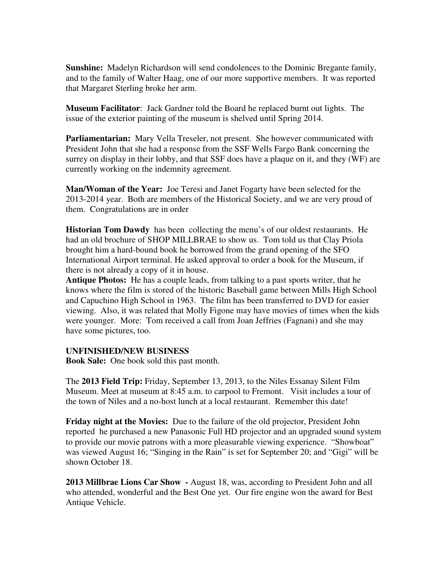**Sunshine:** Madelyn Richardson will send condolences to the Dominic Bregante family, and to the family of Walter Haag, one of our more supportive members. It was reported that Margaret Sterling broke her arm.

**Museum Facilitator**: Jack Gardner told the Board he replaced burnt out lights. The issue of the exterior painting of the museum is shelved until Spring 2014.

**Parliamentarian:** Mary Vella Treseler, not present. She however communicated with President John that she had a response from the SSF Wells Fargo Bank concerning the surrey on display in their lobby, and that SSF does have a plaque on it, and they (WF) are currently working on the indemnity agreement.

**Man/Woman of the Year:** Joe Teresi and Janet Fogarty have been selected for the 2013-2014 year. Both are members of the Historical Society, and we are very proud of them. Congratulations are in order

**Historian Tom Dawdy** has been collecting the menu's of our oldest restaurants. He had an old brochure of SHOP MILLBRAE to show us. Tom told us that Clay Priola brought him a hard-bound book he borrowed from the grand opening of the SFO International Airport terminal. He asked approval to order a book for the Museum, if there is not already a copy of it in house.

**Antique Photos:** He has a couple leads, from talking to a past sports writer, that he knows where the film is stored of the historic Baseball game between Mills High School and Capuchino High School in 1963. The film has been transferred to DVD for easier viewing. Also, it was related that Molly Figone may have movies of times when the kids were younger. More: Tom received a call from Joan Jeffries (Fagnani) and she may have some pictures, too.

## **UNFINISHED/NEW BUSINESS**

**Book Sale:** One book sold this past month.

The **2013 Field Trip:** Friday, September 13, 2013, to the Niles Essanay Silent Film Museum. Meet at museum at 8:45 a.m. to carpool to Fremont. Visit includes a tour of the town of Niles and a no-host lunch at a local restaurant. Remember this date!

**Friday night at the Movies:** Due to the failure of the old projector, President John reported he purchased a new Panasonic Full HD projector and an upgraded sound system to provide our movie patrons with a more pleasurable viewing experience. "Showboat" was viewed August 16; "Singing in the Rain" is set for September 20; and "Gigi" will be shown October 18.

**2013 Millbrae Lions Car Show -** August 18, was, according to President John and all who attended, wonderful and the Best One yet. Our fire engine won the award for Best Antique Vehicle.